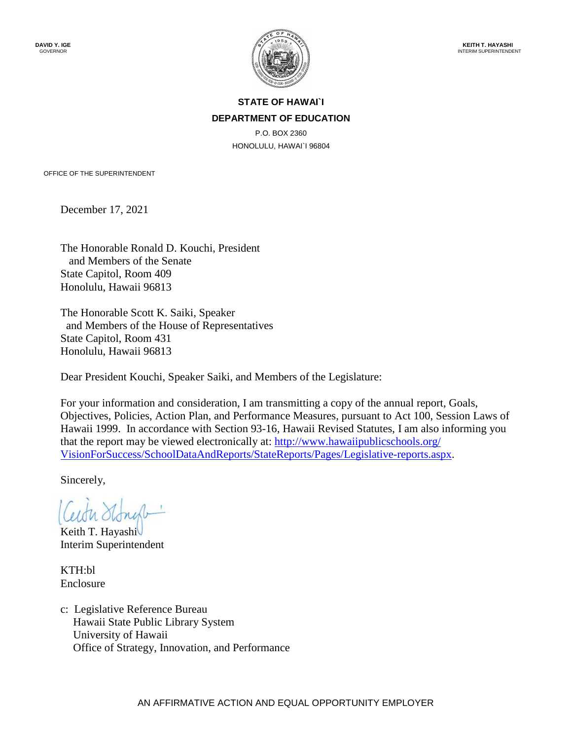

### **STATE OF HAWAI`I DEPARTMENT OF EDUCATION**

P.O. BOX 2360 HONOLULU, HAWAI`I 96804

OFFICE OF THE SUPERINTENDENT

December 17, 2021

The Honorable Ronald D. Kouchi, President and Members of the Senate State Capitol, Room 409 Honolulu, Hawaii 96813

The Honorable Scott K. Saiki, Speaker and Members of the House of Representatives State Capitol, Room 431 Honolulu, Hawaii 96813

Dear President Kouchi, Speaker Saiki, and Members of the Legislature:

For your information and consideration, I am transmitting a copy of the annual report, Goals, Objectives, Policies, Action Plan, and Performance Measures, pursuant to Act 100, Session Laws of Hawaii 1999. In accordance with Section 93-16, Hawaii Revised Statutes, I am also informing you that the report may be viewed electronically at: [http://www.hawaiipublicschools.org/](http://www.hawaiipublicschools.org/VisionForSuccess/SchoolDataAndReports/StateReports/Pages/Legislative-reports.aspx)  [VisionForSuccess/SchoolDataAndReports/StateReports/Pages/Legislative-reports.aspx.](http://www.hawaiipublicschools.org/VisionForSuccess/SchoolDataAndReports/StateReports/Pages/Legislative-reports.aspx)

Sincerely,

Keith T. Hayashi Interim Superintendent

KTH:bl Enclosure

c: Legislative Reference Bureau Hawaii State Public Library System University of Hawaii Office of Strategy, Innovation, and Performance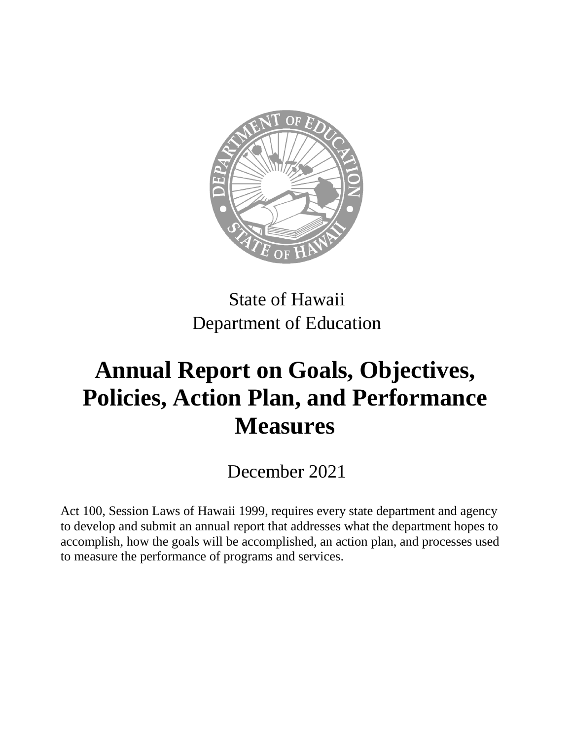

State of Hawaii Department of Education

# **Annual Report on Goals, Objectives, Policies, Action Plan, and Performance Measures**

December 2021

Act 100, Session Laws of Hawaii 1999, requires every state department and agency to develop and submit an annual report that addresses what the department hopes to accomplish, how the goals will be accomplished, an action plan, and processes used to measure the performance of programs and services.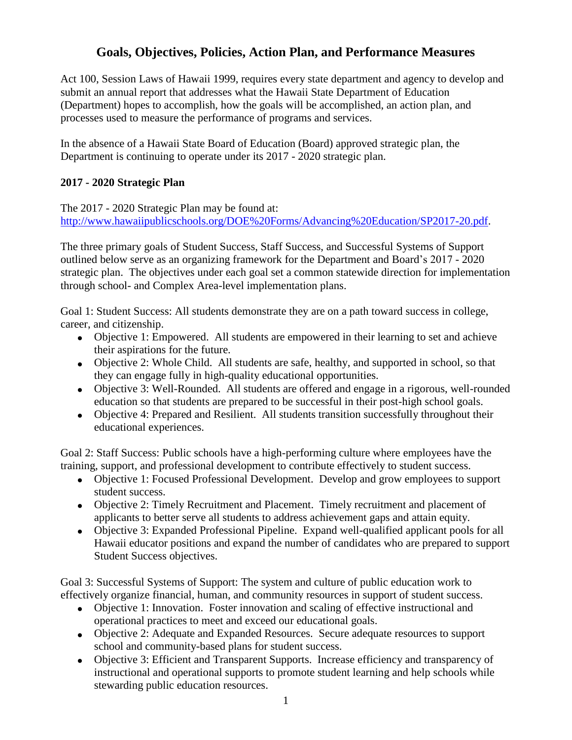# **Goals, Objectives, Policies, Action Plan, and Performance Measures**

Act 100, Session Laws of Hawaii 1999, requires every state department and agency to develop and submit an annual report that addresses what the Hawaii State Department of Education (Department) hopes to accomplish, how the goals will be accomplished, an action plan, and processes used to measure the performance of programs and services.

In the absence of a Hawaii State Board of Education (Board) approved strategic plan, the Department is continuing to operate under its 2017 - 2020 strategic plan.

## **2017 - 2020 Strategic Plan**

The 2017 - 2020 Strategic Plan may be found at: [http://www.hawaiipublicschools.org/DOE%20Forms/Advancing%20Education/SP2017-20.pdf.](http://www.hawaiipublicschools.org/DOE%20Forms/Advancing%20Education/SP2017-20.pdf)

The three primary goals of Student Success, Staff Success, and Successful Systems of Support outlined below serve as an organizing framework for the Department and Board's 2017 - 2020 strategic plan. The objectives under each goal set a common statewide direction for implementation through school- and Complex Area-level implementation plans.

Goal 1: Student Success: All students demonstrate they are on a path toward success in college, career, and citizenship.

- Objective 1: Empowered. All students are empowered in their learning to set and achieve their aspirations for the future.
- Objective 2: Whole Child. All students are safe, healthy, and supported in school, so that they can engage fully in high-quality educational opportunities.
- Objective 3: Well-Rounded. All students are offered and engage in a rigorous, well-rounded education so that students are prepared to be successful in their post-high school goals.
- Objective 4: Prepared and Resilient. All students transition successfully throughout their educational experiences.

Goal 2: Staff Success: Public schools have a high-performing culture where employees have the training, support, and professional development to contribute effectively to student success.

- Objective 1: Focused Professional Development. Develop and grow employees to support student success.
- Objective 2: Timely Recruitment and Placement. Timely recruitment and placement of applicants to better serve all students to address achievement gaps and attain equity.
- Objective 3: Expanded Professional Pipeline. Expand well-qualified applicant pools for all Hawaii educator positions and expand the number of candidates who are prepared to support Student Success objectives.

Goal 3: Successful Systems of Support: The system and culture of public education work to effectively organize financial, human, and community resources in support of student success.

- Objective 1: Innovation. Foster innovation and scaling of effective instructional and operational practices to meet and exceed our educational goals.
- Objective 2: Adequate and Expanded Resources. Secure adequate resources to support school and community-based plans for student success.
- Objective 3: Efficient and Transparent Supports. Increase efficiency and transparency of instructional and operational supports to promote student learning and help schools while stewarding public education resources.